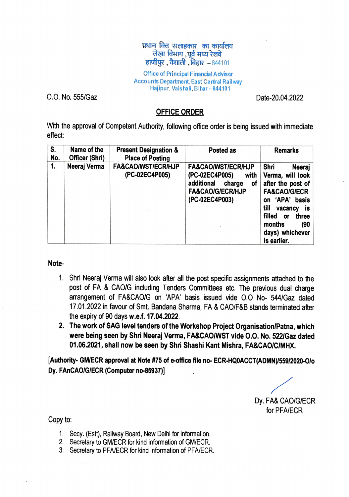## प्रधान वित्त सलाहकार का कार्यालय लेखा विभाग, पूर्व मध्य रेलवे  $F = 844101$ , वैशाली , बिहार  $-844101$

Office of Principal Financial Advis ar Accounts Department, East Central Railway Hajipur, Vais hali, Bihar-844101

0.0. No. 555/Gaz Date-20.04.2022

## OFFICE ORDER

With the approval of Competent Authority, following office order is being issued with immediate effect

| S.<br>No. | Name of the<br>Officer (Shri) | <b>Present Designation &amp;</b><br><b>Place of Posting</b> | Posted as                                                                                                                              | <b>Remarks</b>                                                                                                                                                                                                     |
|-----------|-------------------------------|-------------------------------------------------------------|----------------------------------------------------------------------------------------------------------------------------------------|--------------------------------------------------------------------------------------------------------------------------------------------------------------------------------------------------------------------|
| 1.        | Neeraj Verma                  | <b>FA&amp;CAO/WST/ECR/HJP</b><br>(PC-02EC4P005)             | <b>FA&amp;CAO/WST/ECR/HJP</b><br>(PC-02EC4P005)<br>with<br>additional<br>charge<br>οf<br><b>FA&amp;CAO/G/ECR/HJP</b><br>(PC-02EC4P003) | Shri<br>Neeraj<br>Verma, will look<br>after the post of<br><b>FA&amp;CAO/G/ECR</b><br>on 'APA' basis<br>till<br>vacancy<br>is.<br>filled<br>three<br><b>or</b><br>months<br>(90)<br>days) whichever<br>is earlier. |

Note

- 1. Shri Neeraj Vema will also look ater all the post specific assignments attached to the post of FA & CAO/G including Tenders Committees etc. The previous dual charge arrangement of FA&CAOIG on 'APA' basis issued vide 0.0 No- 544/Gaz dated 17.01.2022 in favour of Smt. Bandana Sharma, FA & CAOF&8 stands terminated ater the expiry of 90 days w.e.f. 17.04.2022.
- 2. The work of SAG level tenders of the Workshop Project Organisation/Patna, which were being seen by Shri Neeraj Verma, FA&CAOWST vide 0.0. No. 522/Gaz dated 01.06.2021, shall now be seen by Shri Shashi Kant Mishra, FA&CAOIC/MHX.

[Authority- GM/ECR approval at Note #75 of e-office file no- ECR-HQ0ACCT(ADMN)/559/2020-O/o Dy. FAnCAO/G/ECR (Computer no-85937)]

Dy. FA& CAO/G/ECR for PFA/ECR

Copy to:

- 1. Secy. (Est), Railway Board, New Delhi for information.
- 2. Secretary to GM/ECR for kind information of GM/ECR.
- 3. Secretary to PFA/ECR for kind information of PFA/ECR.